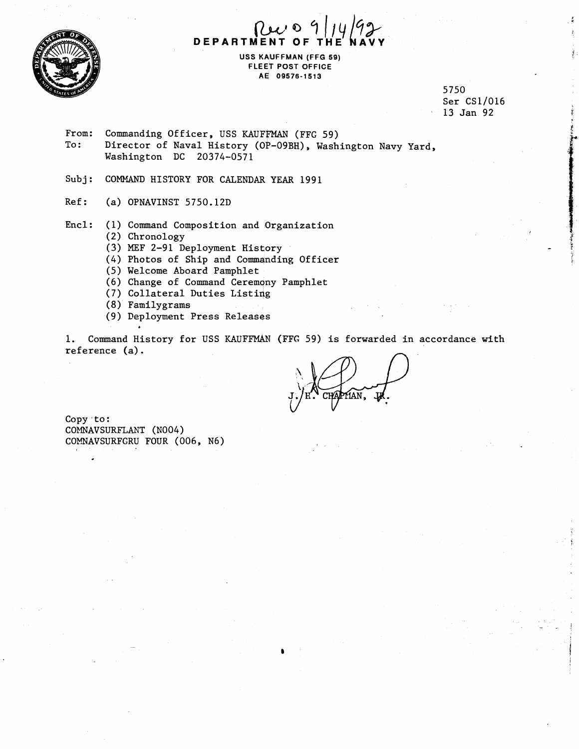

7*I*IY/92 **DEPARTMENT** 

**USS KAUFFMAN (FFG 59) FLEET POST OFFICE AEi 09576-1513** 

> 5750 Ser CS1/016 13 Jan 92

- From: Commanding Officer, USS KAUFFMAN (FFG 59)<br>To: Director of Naval History (OP-09BH), Wash Director of Naval History (OP-09BH), Washington Navy Yard, Washington DC 20374-0571
- Subj: COMMAND HISTORY FOR CALENDAR YEAR 1991
- Ref: (a) OPNAVINST 5750.12D
- Encl: (1) Command Composition and Organization
	- (2) Chronology
	- (3) **MEF** 2-91 Deployment History
	- (4) Photos of Ship and Commanding Officer
	- (5) Welcome Aboard Pamphlet
	- (6) Change of Command Ceremony Pamphlet
	- (7) Collateral Duties Listing
	- (8) Familygrams
	- (9) Deployment Press Releases

1. Command History for USS KAUFFMAN (FFG 59) is forwarded in accordance with reference (a) .

IAN.

Copy to: COMNAVSURFLANT (N004) COMNAVSURFGRU FOUR (006, N6)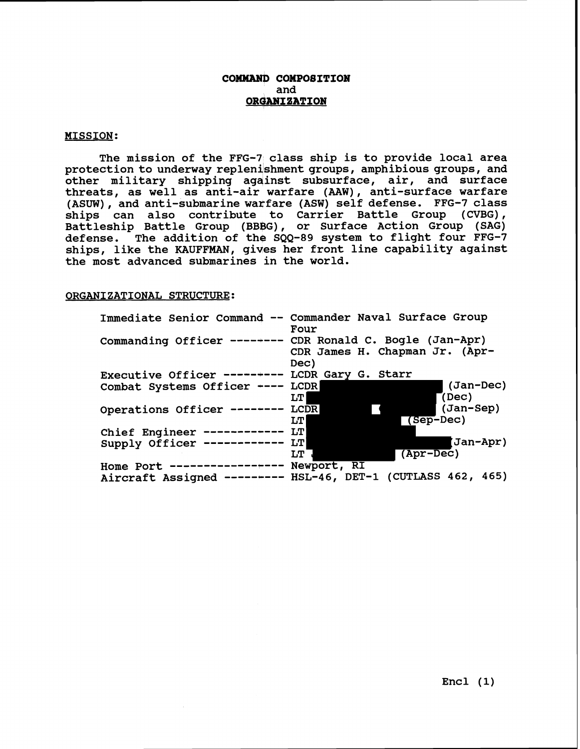## **COMMAND COMPO8ITION and ORGANIZATION**

### **MISSION:**

**The mission of the FFG-7 class ship is to provide local area protection to underway replenjshment groups, amphibious groups, and other military shipping agqinst subsurface, air, and surface threats, as well as anti-air warfare (AAW), anti-surface warfare**  (ASUW), and anti-submarine warfare (ASW) self defense. FFG-7 class **ships can also contribute to Carrier Battle Group (CVBG), Battleship Battle Group (BBBG), or Surface Action Group (SAG) defense. The addition of the SQQ-89 system to flight four FFG-7 ships, like the KAUFFMAN, gives her front line capability against the most advanced submarines in the world.** 

#### **ORGANIZATIONAL STRUCTURE:**

|                                                | Immediate Senior Command -- Commander Naval Surface Group<br>Four                                   |
|------------------------------------------------|-----------------------------------------------------------------------------------------------------|
|                                                | Commanding Officer ----+--- CDR Ronald C. Bogle (Jan-Apr)<br>CDR James H. Chapman Jr. (Apr-<br>Dec) |
| Executive Officer -----+--- LCDR Gary G. Starr |                                                                                                     |
| Combat Systems Officer ----                    | (Jan-Dec)<br>LCDR<br>(Dec)<br>LT I                                                                  |
| Operations Officer --------                    | (Jan-Sep)<br><b>LCDR</b><br>(Sep-Dec)<br><b>LTI</b>                                                 |
| Chief Engineer ------------                    | LTI                                                                                                 |
| Supply Officer ------------                    | Jan-Apr)<br><b>LT</b>                                                                               |
|                                                | (Apr-Dec)<br>LT                                                                                     |
| Home Port -----------------                    | Newport, RI                                                                                         |
|                                                | Aircraft Assigned -------- HSL-46, DET-1 (CUTLASS 462, 465)                                         |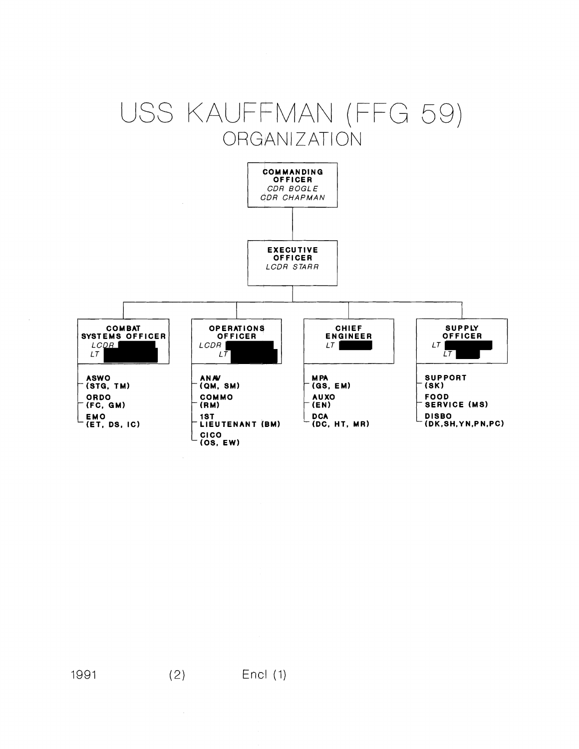# USS KAUFFMAN (FFG 59) **ORGANIZATION**

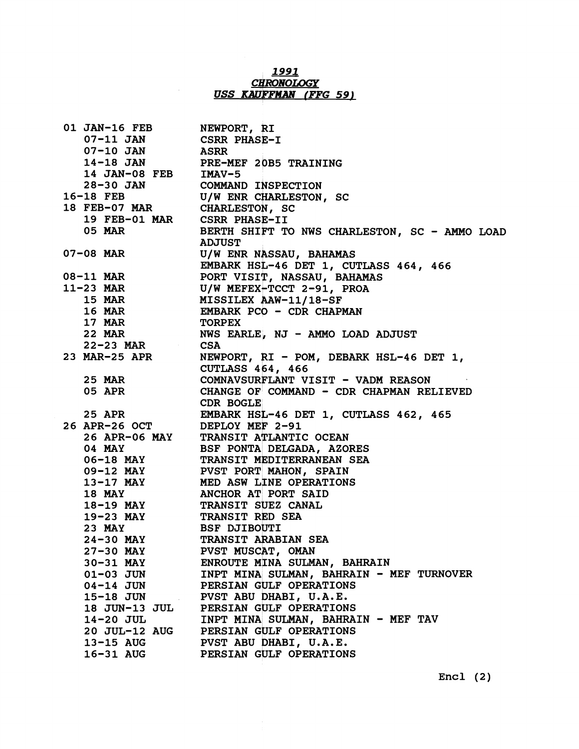## **1991**  *CHiWNOLOGY*  **USS** *KAUPFMAN* **(FFG 59)**

| 01 JAN-16 FEB NEWPORT, RI                        |                                                                                                                                                                   |
|--------------------------------------------------|-------------------------------------------------------------------------------------------------------------------------------------------------------------------|
| 07-11 JAN CSRR PHASE-I                           |                                                                                                                                                                   |
| 07-10 JAN ASRR                                   |                                                                                                                                                                   |
|                                                  |                                                                                                                                                                   |
|                                                  | 14-18 JAN PRE-MEF 20B5 TRAINING<br>14 JAN-08 FEB IMAV-5                                                                                                           |
|                                                  | 28-30 JAN COMMAND INSPECTION<br>16-18 FEB U/W ENR CHARLESTON, SC                                                                                                  |
|                                                  |                                                                                                                                                                   |
| 18 FEB-07 MAR CHARLESTON, SC                     |                                                                                                                                                                   |
| 19 FEB-01 MAR CSRR PHASE-II                      |                                                                                                                                                                   |
|                                                  | 05 MAR BERTH SHIFT TO NWS CHARLESTON, SC - AMMO LOAD<br>ADJUST                                                                                                    |
|                                                  |                                                                                                                                                                   |
|                                                  | 07-08 MAR<br>U/W ENR NASSAU, BAHAMAS<br>EMBARK HSL-46 DET 1, CUTLASS 464, 466<br>08-11 MAR<br>11-23 MAR<br>U/W MEFEX-TCCT 2-91, PROA<br>U/W MEFEX-TCCT 2-91, PROA |
|                                                  |                                                                                                                                                                   |
|                                                  |                                                                                                                                                                   |
|                                                  |                                                                                                                                                                   |
|                                                  |                                                                                                                                                                   |
|                                                  | 15 MAR MISSILEX AAW-11/18-SF<br>16 MAR EMBARK PCO - CDR CHAPMAN                                                                                                   |
| 17 MAR TORPEX                                    |                                                                                                                                                                   |
|                                                  | 22 MAR NWS EARLE, NJ - AMMO LOAD ADJUST<br>22-23 MAR CSA                                                                                                          |
|                                                  |                                                                                                                                                                   |
|                                                  | 23 MAR-25 APR NEWPORT, RI - POM, DEBARK HSL-46 DET 1,<br>CUTLASS 464, 466                                                                                         |
|                                                  |                                                                                                                                                                   |
|                                                  | 25 MAR COMNAVSURFLANT VISIT - VADM REASON                                                                                                                         |
|                                                  | 05 APR CHANGE OF COMMAND - CDR CHAPMAN RELIEVED                                                                                                                   |
|                                                  | <b>CDR BOGLE</b>                                                                                                                                                  |
|                                                  | 25 APR EMBARK HSL-46 DET 1, CUTLASS 462, 465                                                                                                                      |
| 26 APR-26 OCT DEPLOY MEF 2-91                    |                                                                                                                                                                   |
|                                                  |                                                                                                                                                                   |
|                                                  |                                                                                                                                                                   |
|                                                  | 26 APR-06 MAY TRANSIT ATLANTIC OCEAN<br>04 MAY BSF PONTA DELGADA, AZORES<br>06-18 MAY TRANSIT MEDITERRANEAN SEA                                                   |
|                                                  |                                                                                                                                                                   |
|                                                  |                                                                                                                                                                   |
|                                                  | 09-12 MAY PVST PORT MAHON, SPAIN<br>13-17 MAY MED ASW LINE OPERATIONS<br>18 MAY ANCHOR AT PORT SAID<br>18-19 MAY TRANSIT SUEZ CANAL                               |
|                                                  |                                                                                                                                                                   |
| 19-23 MAY TRANSIT RED SEA<br>23 MAY BSF DJIBOUTI |                                                                                                                                                                   |
|                                                  |                                                                                                                                                                   |
|                                                  | 24-30 MAY TRANSIT ARABIAN SEA                                                                                                                                     |
| <b>27-30 MAY</b>                                 | PVST MUSCAT, OMAN                                                                                                                                                 |
| 30-31 MAY                                        | ENROUTE MINA SULMAN, BAHRAIN                                                                                                                                      |
| 01-03 JUN                                        | INPT MINA SULMAN, BAHRAIN - MEF TURNOVER                                                                                                                          |
| 04-14 JUN                                        | PERSIAN GULF OPERATIONS                                                                                                                                           |
| <b>15-18 JUN</b>                                 | PVST ABU DHABI, U.A.E.                                                                                                                                            |
| 18 JUN-13 JUL                                    | PERSIAN GULF OPERATIONS                                                                                                                                           |
| 14-20 JUL                                        | INPT MINA SULMAN, BAHRAIN - MEF TAV                                                                                                                               |
| <b>20 JUL-12 AUG</b>                             | PERSIAN GULF OPERATIONS                                                                                                                                           |
| 13-15 AUG                                        | PVST ABU DHABI, U.A.E.                                                                                                                                            |
| 16-31 AUG                                        | PERSIAN GULF OPERATIONS                                                                                                                                           |